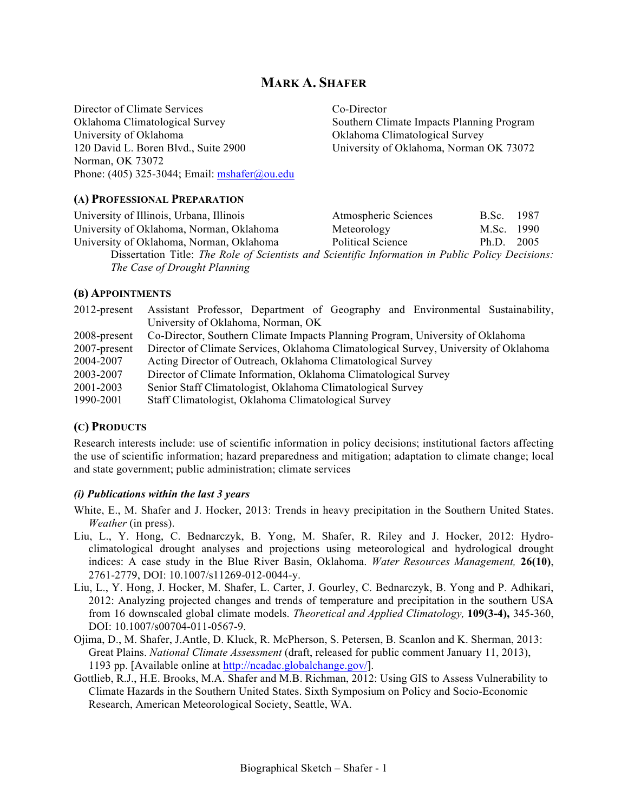# **MARK A. SHAFER**

Director of Climate Services Co-Director Oklahoma Climatological Survey Southern Climate Impacts Planning Program University of Oklahoma Climatological Survey 120 David L. Boren Blvd., Suite 2900 University of Oklahoma, Norman OK 73072 Norman, OK 73072 Phone: (405) 325-3044; Email:  $mshafer@ou.edu$ 

#### **(A) PROFESSIONAL PREPARATION**

University of Illinois, Urbana, Illinois Atmospheric Sciences B.Sc. 1987 University of Oklahoma, Norman, Oklahoma Meteorology M.Sc. 1990 University of Oklahoma, Norman, Oklahoma Political Science Ph.D. 2005 Dissertation Title: *The Role of Scientists and Scientific Information in Public Policy Decisions:* 

*The Case of Drought Planning*

#### **(B) APPOINTMENTS**

| $2012$ -present | Assistant Professor, Department of Geography and Environmental Sustainability,       |
|-----------------|--------------------------------------------------------------------------------------|
|                 | University of Oklahoma, Norman, OK                                                   |
| 2008-present    | Co-Director, Southern Climate Impacts Planning Program, University of Oklahoma       |
| $2007$ -present | Director of Climate Services, Oklahoma Climatological Survey, University of Oklahoma |
| 2004-2007       | Acting Director of Outreach, Oklahoma Climatological Survey                          |
| 2003-2007       | Director of Climate Information, Oklahoma Climatological Survey                      |
| 2001-2003       | Senior Staff Climatologist, Oklahoma Climatological Survey                           |
| 1990-2001       | Staff Climatologist, Oklahoma Climatological Survey                                  |

## **(C) PRODUCTS**

Research interests include: use of scientific information in policy decisions; institutional factors affecting the use of scientific information; hazard preparedness and mitigation; adaptation to climate change; local and state government; public administration; climate services

#### *(i) Publications within the last 3 years*

- White, E., M. Shafer and J. Hocker, 2013: Trends in heavy precipitation in the Southern United States. *Weather* (in press).
- Liu, L., Y. Hong, C. Bednarczyk, B. Yong, M. Shafer, R. Riley and J. Hocker, 2012: Hydroclimatological drought analyses and projections using meteorological and hydrological drought indices: A case study in the Blue River Basin, Oklahoma. *Water Resources Management,* **26(10)**, 2761-2779, DOI: 10.1007/s11269-012-0044-y.
- Liu, L., Y. Hong, J. Hocker, M. Shafer, L. Carter, J. Gourley, C. Bednarczyk, B. Yong and P. Adhikari, 2012: Analyzing projected changes and trends of temperature and precipitation in the southern USA from 16 downscaled global climate models. *Theoretical and Applied Climatology,* **109(3-4),** 345-360, DOI: 10.1007/s00704-011-0567-9.
- Ojima, D., M. Shafer, J.Antle, D. Kluck, R. McPherson, S. Petersen, B. Scanlon and K. Sherman, 2013: Great Plains. *National Climate Assessment* (draft, released for public comment January 11, 2013), 1193 pp. [Available online at http://ncadac.globalchange.gov/].
- Gottlieb, R.J., H.E. Brooks, M.A. Shafer and M.B. Richman, 2012: Using GIS to Assess Vulnerability to Climate Hazards in the Southern United States. Sixth Symposium on Policy and Socio-Economic Research, American Meteorological Society, Seattle, WA.